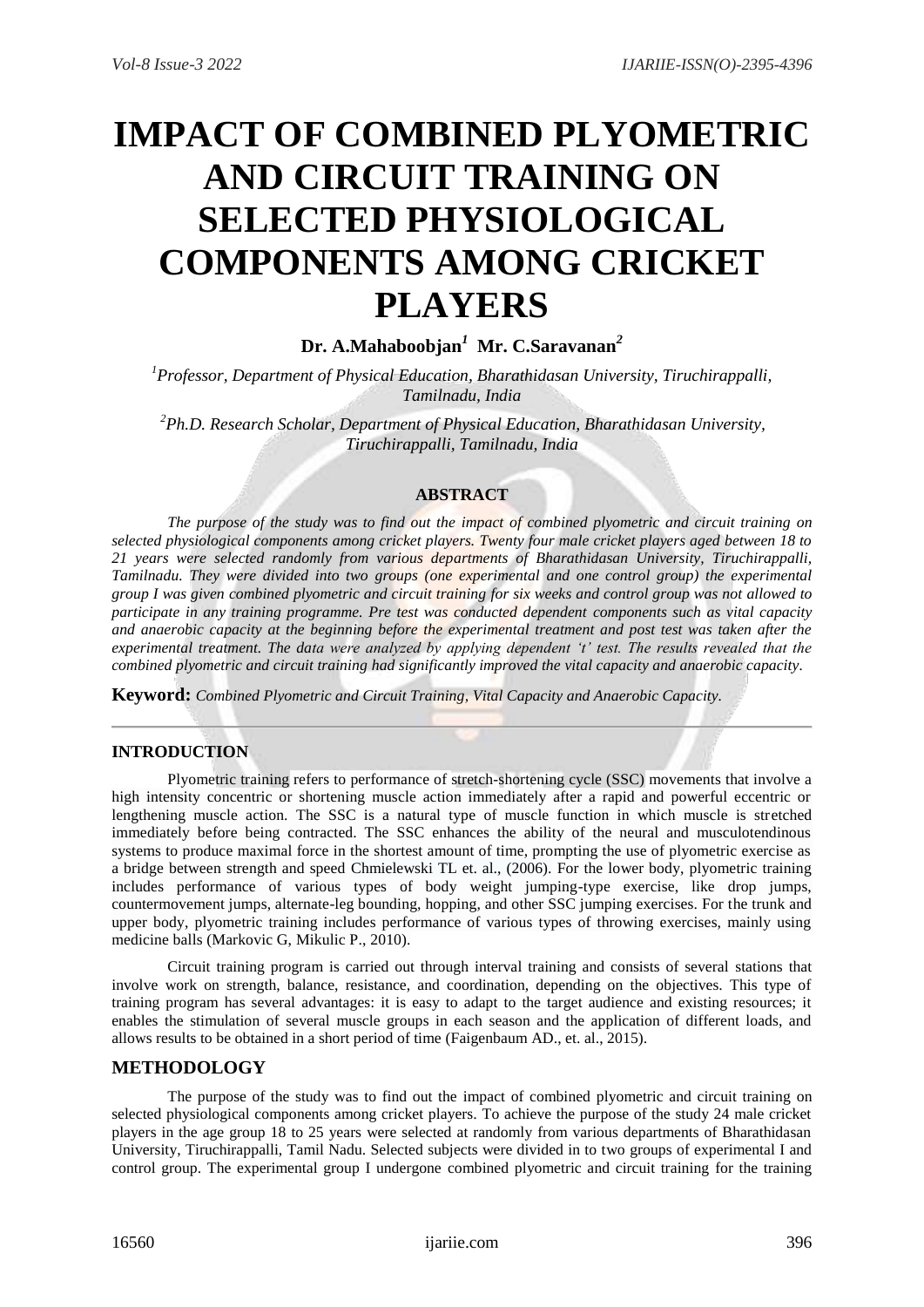# **IMPACT OF COMBINED PLYOMETRIC AND CIRCUIT TRAINING ON SELECTED PHYSIOLOGICAL COMPONENTS AMONG CRICKET PLAYERS**

## **Dr. A.Mahaboobjan***<sup>1</sup>* **Mr. C.Saravanan***<sup>2</sup>*

*<sup>1</sup>Professor, Department of Physical Education, Bharathidasan University, Tiruchirappalli, Tamilnadu, India*

*<sup>2</sup>Ph.D. Research Scholar, Department of Physical Education, Bharathidasan University, Tiruchirappalli, Tamilnadu, India*

## **ABSTRACT**

*The purpose of the study was to find out the impact of combined plyometric and circuit training on selected physiological components among cricket players. Twenty four male cricket players aged between 18 to 21 years were selected randomly from various departments of Bharathidasan University, Tiruchirappalli, Tamilnadu. They were divided into two groups (one experimental and one control group) the experimental group I was given combined plyometric and circuit training for six weeks and control group was not allowed to participate in any training programme. Pre test was conducted dependent components such as vital capacity and anaerobic capacity at the beginning before the experimental treatment and post test was taken after the experimental treatment. The data were analyzed by applying dependent 't' test. The results revealed that the combined plyometric and circuit training had significantly improved the vital capacity and anaerobic capacity.*

**Keyword:** *Combined Plyometric and Circuit Training, Vital Capacity and Anaerobic Capacity.* 

## **INTRODUCTION**

[Plyometric training](https://doi.org/10.1007/978-3-540-29807-6_122) refers to performance of [stretch-shortening cycle \(SSC\)](https://doi.org/10.1007/978-3-540-29807-6_3115) movements that involve a high intensity concentric or shortening muscle action immediately after a rapid and powerful eccentric or lengthening muscle action. The SSC is a natural type of muscle function in which muscle is stretched immediately before being contracted. The SSC enhances the ability of the neural and musculotendinous systems to produce maximal force in the shortest amount of time, prompting the use of plyometric exercise as a bridge between strength and speed Chmielewski TL et. al., (2006). For the lower body, plyometric training includes performance of various types of body weight jumping-type exercise, like drop jumps, countermovement jumps, alternate-leg bounding, hopping, and other SSC jumping exercises. For the trunk and upper body, plyometric training includes performance of various types of throwing exercises, mainly using medicine balls (Markovic G, Mikulic P., 2010).

Circuit training program is carried out through interval training and consists of several stations that involve work on strength, balance, resistance, and coordination, depending on the objectives. This type of training program has several advantages: it is easy to adapt to the target audience and existing resources; it enables the stimulation of several muscle groups in each season and the application of different loads, and allows results to be obtained in a short period of time (Faigenbaum AD., et. al., 2015).

## **METHODOLOGY**

The purpose of the study was to find out the impact of combined plyometric and circuit training on selected physiological components among cricket players. To achieve the purpose of the study 24 male cricket players in the age group 18 to 25 years were selected at randomly from various departments of Bharathidasan University, Tiruchirappalli, Tamil Nadu. Selected subjects were divided in to two groups of experimental I and control group. The experimental group I undergone combined plyometric and circuit training for the training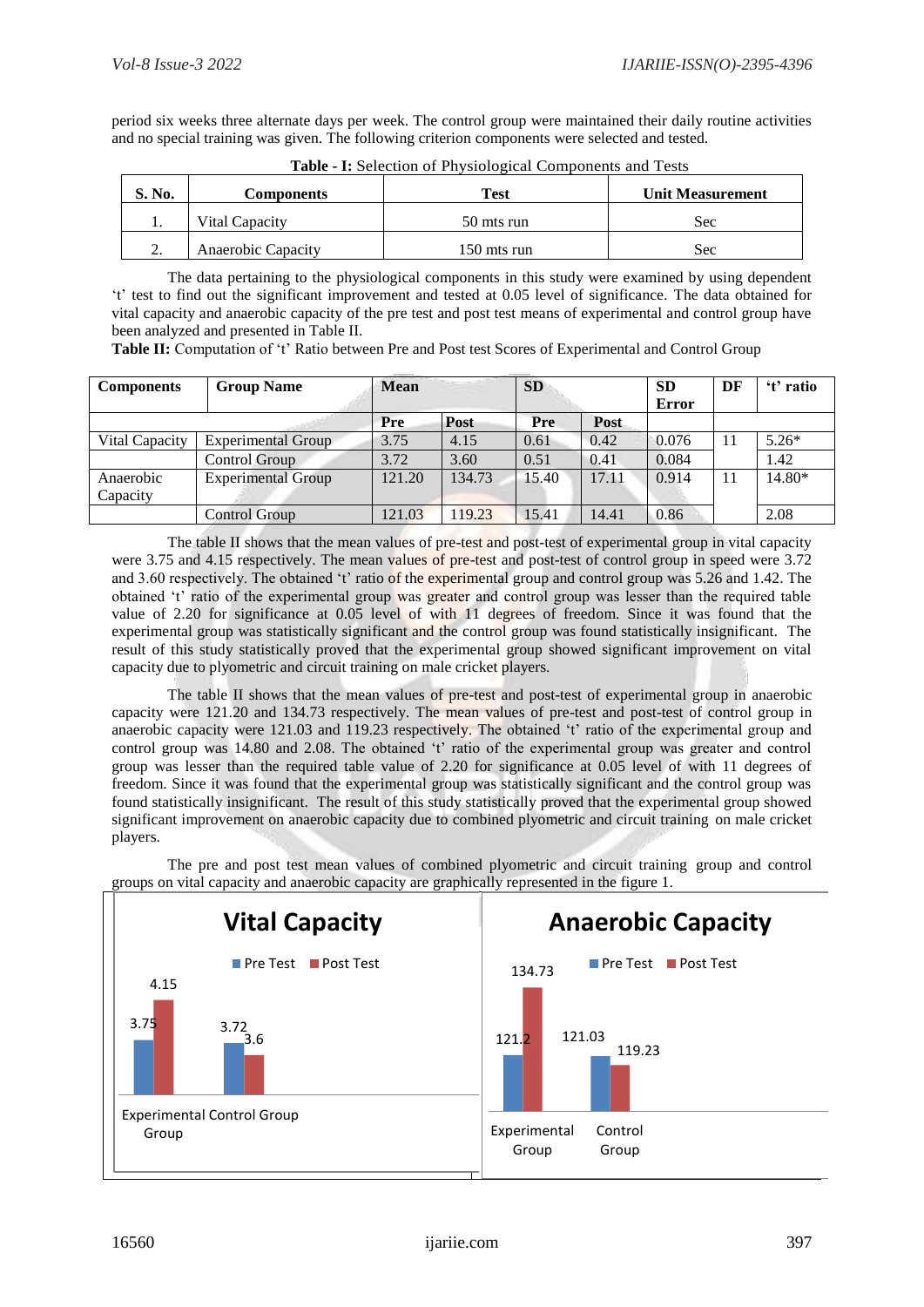period six weeks three alternate days per week. The control group were maintained their daily routine activities and no special training was given. The following criterion components were selected and tested.

| S. No.   | Components         | <b>Test</b> | <b>Unit Measurement</b> |  |  |
|----------|--------------------|-------------|-------------------------|--|--|
| . .      | Vital Capacity     | 50 mts run  | <b>Sec</b>              |  |  |
| <u>.</u> | Anaerobic Capacity | 150 mts run | Sec                     |  |  |

**Table - I:** Selection of Physiological Components and Tests

The data pertaining to the physiological components in this study were examined by using dependent 't' test to find out the significant improvement and tested at 0.05 level of significance. The data obtained for vital capacity and anaerobic capacity of the pre test and post test means of experimental and control group have been analyzed and presented in Table II.

**Table II:** Computation of 't' Ratio between Pre and Post test Scores of Experimental and Control Group

| <b>Components</b>     | <b>Group Name</b>         | <b>Mean</b> |        | <b>SD</b> |             | <b>SD</b><br><b>Error</b> | DF | 't' ratio |
|-----------------------|---------------------------|-------------|--------|-----------|-------------|---------------------------|----|-----------|
|                       |                           | Pre         | Post   | Pre       | <b>Post</b> |                           |    |           |
| Vital Capacity        | <b>Experimental Group</b> | 3.75        | 4.15   | 0.61      | 0.42        | 0.076                     | 11 | $5.26*$   |
|                       | Control Group             | 3.72        | 3.60   | 0.51      | 0.41        | 0.084                     |    | 1.42      |
| Anaerobic<br>Capacity | <b>Experimental Group</b> | 121.20      | 134.73 | 15.40     | 17.11       | 0.914                     | 11 | 14.80*    |
|                       | Control Group             | 121.03      | 119.23 | 15.41     | 14.41       | 0.86                      |    | 2.08      |

The table II shows that the mean values of pre-test and post-test of experimental group in vital capacity were 3.75 and 4.15 respectively. The mean values of pre-test and post-test of control group in speed were 3.72 and 3.60 respectively. The obtained 't' ratio of the experimental group and control group was 5.26 and 1.42. The obtained 't' ratio of the experimental group was greater and control group was lesser than the required table value of 2.20 for significance at 0.05 level of with 11 degrees of freedom. Since it was found that the experimental group was statistically significant and the control group was found statistically insignificant. The result of this study statistically proved that the experimental group showed significant improvement on vital capacity due to plyometric and circuit training on male cricket players.

The table II shows that the mean values of pre-test and post-test of experimental group in anaerobic capacity were 121.20 and 134.73 respectively. The mean values of pre-test and post-test of control group in anaerobic capacity were 121.03 and 119.23 respectively. The obtained 't' ratio of the experimental group and control group was 14.80 and 2.08. The obtained 't' ratio of the experimental group was greater and control group was lesser than the required table value of 2.20 for significance at 0.05 level of with 11 degrees of freedom. Since it was found that the experimental group was statistically significant and the control group was found statistically insignificant. The result of this study statistically proved that the experimental group showed significant improvement on anaerobic capacity due to combined plyometric and circuit training on male cricket players.

The pre and post test mean values of combined plyometric and circuit training group and control groups on vital capacity and anaerobic capacity are graphically represented in the figure 1.